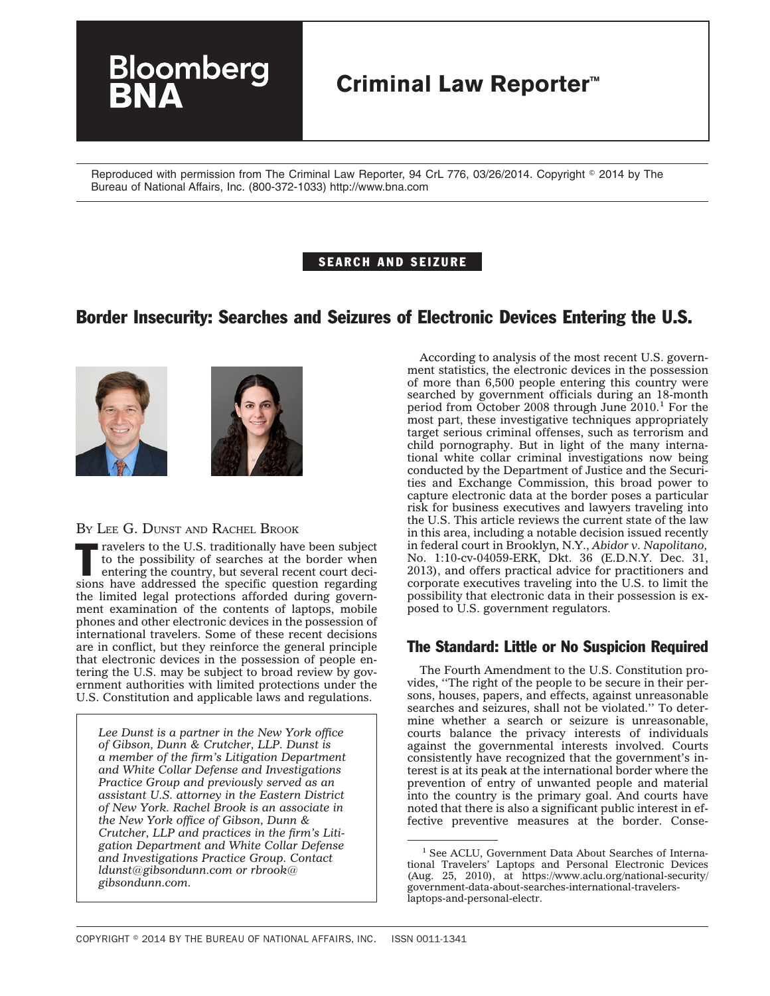

Reproduced with permission from The Criminal Law Reporter, 94 CrL 776, 03/26/2014. Copyright © 2014 by The Bureau of National Affairs, Inc. (800-372-1033) http://www.bna.com

## SEARCH AND SEIZURE

# Border Insecurity: Searches and Seizures of Electronic Devices Entering the U.S.





#### BY LEE G. DUNST AND RACHEL BROOK

Travelers to the U.S. traditionally have been subject<br>to the possibility of searches at the border when<br>entering the country, but several recent court deci-<br>signs have alternative decito the possibility of searches at the border when sions have addressed the specific question regarding the limited legal protections afforded during government examination of the contents of laptops, mobile phones and other electronic devices in the possession of international travelers. Some of these recent decisions are in conflict, but they reinforce the general principle that electronic devices in the possession of people entering the U.S. may be subject to broad review by government authorities with limited protections under the U.S. Constitution and applicable laws and regulations.

*Lee Dunst is a partner in the New York office of Gibson, Dunn & Crutcher, LLP. Dunst is a member of the firm's Litigation Department and White Collar Defense and Investigations Practice Group and previously served as an assistant U.S. attorney in the Eastern District of New York. Rachel Brook is an associate in the New York office of Gibson, Dunn & Crutcher, LLP and practices in the firm's Litigation Department and White Collar Defense and Investigations Practice Group. Contact [ldunst@gibsondunn.com](mailto:ldunst@gibsondunn.com) or [rbrook@](mailto:rbrook@gibsondunn.com) [gibsondunn.com.](mailto:rbrook@gibsondunn.com)*

According to analysis of the most recent U.S. government statistics, the electronic devices in the possession of more than 6,500 people entering this country were searched by government officials during an 18-month period from October 2008 through June  $2010<sup>1</sup>$  For the most part, these investigative techniques appropriately target serious criminal offenses, such as terrorism and child pornography. But in light of the many international white collar criminal investigations now being conducted by the Department of Justice and the Securities and Exchange Commission, this broad power to capture electronic data at the border poses a particular risk for business executives and lawyers traveling into the U.S. This article reviews the current state of the law in this area, including a notable decision issued recently in federal court in Brooklyn, N.Y., *Abidor v. Napolitano,* No. 1:10-cv-04059-ERK, Dkt. 36 (E.D.N.Y. Dec. 31, 2013), and offers practical advice for practitioners and corporate executives traveling into the U.S. to limit the possibility that electronic data in their possession is exposed to U.S. government regulators.

# The Standard: Little or No Suspicion Required

The Fourth Amendment to the U.S. Constitution provides, ''The right of the people to be secure in their persons, houses, papers, and effects, against unreasonable searches and seizures, shall not be violated.'' To determine whether a search or seizure is unreasonable, courts balance the privacy interests of individuals against the governmental interests involved. Courts consistently have recognized that the government's interest is at its peak at the international border where the prevention of entry of unwanted people and material into the country is the primary goal. And courts have noted that there is also a significant public interest in effective preventive measures at the border. Conse-

<sup>&</sup>lt;sup>1</sup> See ACLU, Government Data About Searches of International Travelers' Laptops and Personal Electronic Devices (Aug. 25, 2010), at [https://www.aclu.org/national-security/](https://www.aclu.org/national-security/government-data-about-searches-international-travelers-laptops-and-personal-electr) [government-data-about-searches-international-travelers](https://www.aclu.org/national-security/government-data-about-searches-international-travelers-laptops-and-personal-electr)[laptops-and-personal-electr.](https://www.aclu.org/national-security/government-data-about-searches-international-travelers-laptops-and-personal-electr)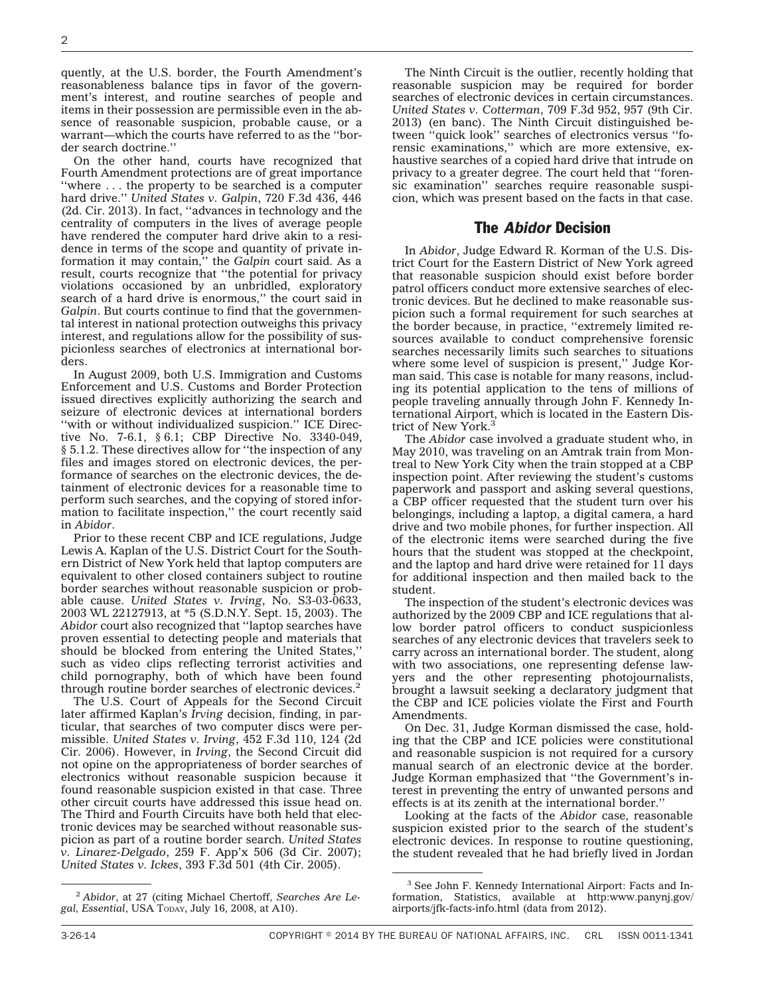quently, at the U.S. border, the Fourth Amendment's reasonableness balance tips in favor of the government's interest, and routine searches of people and items in their possession are permissible even in the absence of reasonable suspicion, probable cause, or a warrant—which the courts have referred to as the ''border search doctrine.''

On the other hand, courts have recognized that Fourth Amendment protections are of great importance ''where . . . the property to be searched is a computer hard drive.'' *United States v. Galpin*, 720 F.3d 436, 446 (2d. Cir. 2013). In fact, ''advances in technology and the centrality of computers in the lives of average people have rendered the computer hard drive akin to a residence in terms of the scope and quantity of private information it may contain,'' the *Galpin* court said. As a result, courts recognize that ''the potential for privacy violations occasioned by an unbridled, exploratory search of a hard drive is enormous,'' the court said in *Galpin*. But courts continue to find that the governmental interest in national protection outweighs this privacy interest, and regulations allow for the possibility of suspicionless searches of electronics at international borders.

In August 2009, both U.S. Immigration and Customs Enforcement and U.S. Customs and Border Protection issued directives explicitly authorizing the search and seizure of electronic devices at international borders "with or without individualized suspicion." ICE Directive No. 7-6.1, § 6.1; CBP Directive No. 3340-049, § 5.1.2. These directives allow for ''the inspection of any files and images stored on electronic devices, the performance of searches on the electronic devices, the detainment of electronic devices for a reasonable time to perform such searches, and the copying of stored information to facilitate inspection,'' the court recently said in *Abidor*.

Prior to these recent CBP and ICE regulations, Judge Lewis A. Kaplan of the U.S. District Court for the Southern District of New York held that laptop computers are equivalent to other closed containers subject to routine border searches without reasonable suspicion or probable cause. *United States v. Irving*, No. S3-03-0633, 2003 WL 22127913, at \*5 (S.D.N.Y. Sept. 15, 2003). The *Abidor* court also recognized that ''laptop searches have proven essential to detecting people and materials that should be blocked from entering the United States,'' such as video clips reflecting terrorist activities and child pornography, both of which have been found through routine border searches of electronic devices.2

The U.S. Court of Appeals for the Second Circuit later affirmed Kaplan's *Irving* decision, finding, in particular, that searches of two computer discs were permissible. *United States v. Irving*, 452 F.3d 110, 124 (2d Cir. 2006). However, in *Irving*, the Second Circuit did not opine on the appropriateness of border searches of electronics without reasonable suspicion because it found reasonable suspicion existed in that case. Three other circuit courts have addressed this issue head on. The Third and Fourth Circuits have both held that electronic devices may be searched without reasonable suspicion as part of a routine border search. *United States v. Linarez-Delgado*, 259 F. App'x 506 (3d Cir. 2007); *United States v. Ickes*, 393 F.3d 501 (4th Cir. 2005).

<sup>2</sup> *Abidor*, at 27 (citing Michael Chertoff, *Searches Are Legal, Essential*, USA TODAY, July 16, 2008, at A10).

The Ninth Circuit is the outlier, recently holding that reasonable suspicion may be required for border searches of electronic devices in certain circumstances. *United States v. Cotterman*, 709 F.3d 952, 957 (9th Cir. 2013) (en banc). The Ninth Circuit distinguished between ''quick look'' searches of electronics versus ''forensic examinations,'' which are more extensive, exhaustive searches of a copied hard drive that intrude on privacy to a greater degree. The court held that ''forensic examination'' searches require reasonable suspicion, which was present based on the facts in that case.

#### The *Abidor* Decision

In *Abidor*, Judge Edward R. Korman of the U.S. District Court for the Eastern District of New York agreed that reasonable suspicion should exist before border patrol officers conduct more extensive searches of electronic devices. But he declined to make reasonable suspicion such a formal requirement for such searches at the border because, in practice, ''extremely limited resources available to conduct comprehensive forensic searches necessarily limits such searches to situations where some level of suspicion is present,'' Judge Korman said. This case is notable for many reasons, including its potential application to the tens of millions of people traveling annually through John F. Kennedy International Airport, which is located in the Eastern District of New York<sup>3</sup>

The *Abidor* case involved a graduate student who, in May 2010, was traveling on an Amtrak train from Montreal to New York City when the train stopped at a CBP inspection point. After reviewing the student's customs paperwork and passport and asking several questions, a CBP officer requested that the student turn over his belongings, including a laptop, a digital camera, a hard drive and two mobile phones, for further inspection. All of the electronic items were searched during the five hours that the student was stopped at the checkpoint, and the laptop and hard drive were retained for 11 days for additional inspection and then mailed back to the student.

The inspection of the student's electronic devices was authorized by the 2009 CBP and ICE regulations that allow border patrol officers to conduct suspicionless searches of any electronic devices that travelers seek to carry across an international border. The student, along with two associations, one representing defense lawyers and the other representing photojournalists, brought a lawsuit seeking a declaratory judgment that the CBP and ICE policies violate the First and Fourth Amendments.

On Dec. 31, Judge Korman dismissed the case, holding that the CBP and ICE policies were constitutional and reasonable suspicion is not required for a cursory manual search of an electronic device at the border. Judge Korman emphasized that ''the Government's interest in preventing the entry of unwanted persons and effects is at its zenith at the international border.''

Looking at the facts of the *Abidor* case, reasonable suspicion existed prior to the search of the student's electronic devices. In response to routine questioning, the student revealed that he had briefly lived in Jordan

<sup>3</sup> See John F. Kennedy International Airport: Facts and Information, Statistics, available at [http:www.panynj.gov/](http://www.panynj.gov/airports/jfk-facts-info.html) [airports/jfk-facts-info.html](http://www.panynj.gov/airports/jfk-facts-info.html) (data from 2012).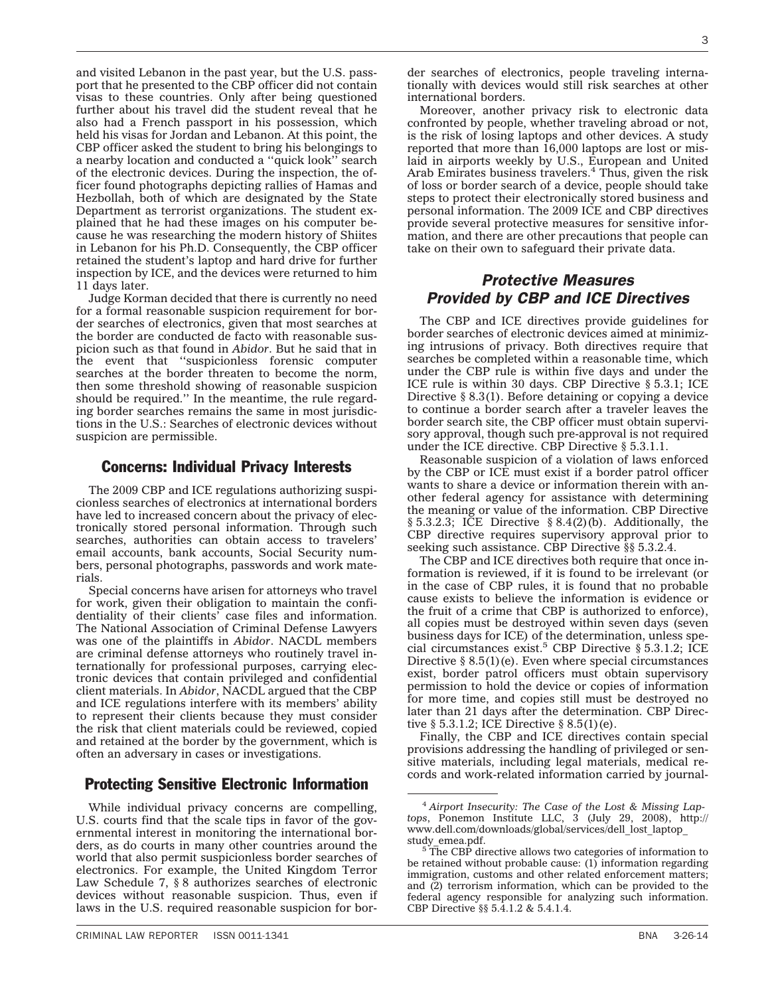and visited Lebanon in the past year, but the U.S. passport that he presented to the CBP officer did not contain visas to these countries. Only after being questioned further about his travel did the student reveal that he also had a French passport in his possession, which held his visas for Jordan and Lebanon. At this point, the CBP officer asked the student to bring his belongings to a nearby location and conducted a ''quick look'' search of the electronic devices. During the inspection, the officer found photographs depicting rallies of Hamas and Hezbollah, both of which are designated by the State Department as terrorist organizations. The student explained that he had these images on his computer because he was researching the modern history of Shiites in Lebanon for his Ph.D. Consequently, the CBP officer retained the student's laptop and hard drive for further inspection by ICE, and the devices were returned to him 11 days later.

Judge Korman decided that there is currently no need for a formal reasonable suspicion requirement for border searches of electronics, given that most searches at the border are conducted de facto with reasonable suspicion such as that found in *Abidor*. But he said that in the event that ''suspicionless forensic computer searches at the border threaten to become the norm, then some threshold showing of reasonable suspicion should be required.'' In the meantime, the rule regarding border searches remains the same in most jurisdictions in the U.S.: Searches of electronic devices without suspicion are permissible.

### Concerns: Individual Privacy Interests

The 2009 CBP and ICE regulations authorizing suspicionless searches of electronics at international borders have led to increased concern about the privacy of electronically stored personal information. Through such searches, authorities can obtain access to travelers' email accounts, bank accounts, Social Security numbers, personal photographs, passwords and work materials.

Special concerns have arisen for attorneys who travel for work, given their obligation to maintain the confidentiality of their clients' case files and information. The National Association of Criminal Defense Lawyers was one of the plaintiffs in *Abidor*. NACDL members are criminal defense attorneys who routinely travel internationally for professional purposes, carrying electronic devices that contain privileged and confidential client materials. In *Abidor*, NACDL argued that the CBP and ICE regulations interfere with its members' ability to represent their clients because they must consider the risk that client materials could be reviewed, copied and retained at the border by the government, which is often an adversary in cases or investigations.

## Protecting Sensitive Electronic Information

While individual privacy concerns are compelling, U.S. courts find that the scale tips in favor of the governmental interest in monitoring the international borders, as do courts in many other countries around the world that also permit suspicionless border searches of electronics. For example, the United Kingdom Terror Law Schedule 7, § 8 authorizes searches of electronic devices without reasonable suspicion. Thus, even if laws in the U.S. required reasonable suspicion for bor-

der searches of electronics, people traveling internationally with devices would still risk searches at other international borders.

Moreover, another privacy risk to electronic data confronted by people, whether traveling abroad or not, is the risk of losing laptops and other devices. A study reported that more than 16,000 laptops are lost or mislaid in airports weekly by U.S., European and United Arab Emirates business travelers. $4$  Thus, given the risk of loss or border search of a device, people should take steps to protect their electronically stored business and personal information. The 2009 ICE and CBP directives provide several protective measures for sensitive information, and there are other precautions that people can take on their own to safeguard their private data.

# *Protective Measures Provided by CBP and ICE Directives*

The CBP and ICE directives provide guidelines for border searches of electronic devices aimed at minimizing intrusions of privacy. Both directives require that searches be completed within a reasonable time, which under the CBP rule is within five days and under the ICE rule is within 30 days. CBP Directive § 5.3.1; ICE Directive § 8.3(1). Before detaining or copying a device to continue a border search after a traveler leaves the border search site, the CBP officer must obtain supervisory approval, though such pre-approval is not required under the ICE directive. CBP Directive § 5.3.1.1.

Reasonable suspicion of a violation of laws enforced by the CBP or ICE must exist if a border patrol officer wants to share a device or information therein with another federal agency for assistance with determining the meaning or value of the information. CBP Directive § 5.3.2.3; ICE Directive § 8.4(2)(b). Additionally, the CBP directive requires supervisory approval prior to seeking such assistance. CBP Directive §§ 5.3.2.4.

The CBP and ICE directives both require that once information is reviewed, if it is found to be irrelevant (or in the case of CBP rules, it is found that no probable cause exists to believe the information is evidence or the fruit of a crime that CBP is authorized to enforce), all copies must be destroyed within seven days (seven business days for ICE) of the determination, unless special circumstances exist.<sup>5</sup> CBP Directive  $\S$  5.3.1.2; ICE Directive  $\S$  8.5(1)(e). Even where special circumstances exist, border patrol officers must obtain supervisory permission to hold the device or copies of information for more time, and copies still must be destroyed no later than 21 days after the determination. CBP Directive § 5.3.1.2; ICE Directive § 8.5(1)(e).

Finally, the CBP and ICE directives contain special provisions addressing the handling of privileged or sensitive materials, including legal materials, medical records and work-related information carried by journal-

<sup>4</sup> *Airport Insecurity: The Case of the Lost & Missing Laptops*, Ponemon Institute LLC, 3 (July 29, 2008), [http://](http://www.dell.com/downloads/global/services/dell_lost_laptop_study_emea.pdf) [www.dell.com/downloads/global/services/dell\\_lost\\_laptop\\_](http://www.dell.com/downloads/global/services/dell_lost_laptop_study_emea.pdf)

[study\\_emea.pdf.](http://www.dell.com/downloads/global/services/dell_lost_laptop_study_emea.pdf) <sup>5</sup> The CBP directive allows two categories of information to be retained without probable cause: (1) information regarding immigration, customs and other related enforcement matters; and (2) terrorism information, which can be provided to the federal agency responsible for analyzing such information. CBP Directive §§ 5.4.1.2 & 5.4.1.4.